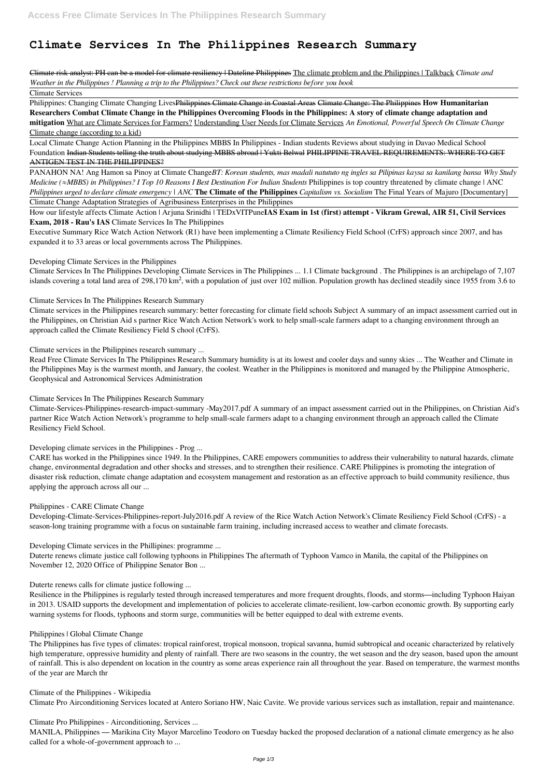# **Climate Services In The Philippines Research Summary**

Climate risk analyst: PH can be a model for climate resiliency | Dateline Philippines The climate problem and the Philippines | Talkback *Climate and Weather in the Philippines ! Planning a trip to the Philippines? Check out these restrictions before you book*

Climate Services

Philippines: Changing Climate Changing LivesPhilippines Climate Change in Coastal Areas Climate Change: The Philippines **How Humanitarian Researchers Combat Climate Change in the Philippines Overcoming Floods in the Philippines: A story of climate change adaptation and mitigation** What are Climate Services for Farmers? Understanding User Needs for Climate Services *An Emotional, Powerful Speech On Climate Change* Climate change (according to a kid)

Local Climate Change Action Planning in the Philippines MBBS In Philippines - Indian students Reviews about studying in Davao Medical School Foundation Indian Students telling the truth about studying MBBS abroad | Yukti Belwal PHILIPPINE TRAVEL REQUIREMENTS: WHERE TO GET ANTIGEN TEST IN THE PHILIPPINES?

Climate Services In The Philippines Developing Climate Services in The Philippines ... 1.1 Climate background . The Philippines is an archipelago of 7,107 islands covering a total land area of 298,170 km<sup>2</sup>, with a population of just over 102 million. Population growth has declined steadily since 1955 from 3.6 to

PANAHON NA! Ang Hamon sa Pinoy at Climate Change*BT: Korean students, mas madali natututo ng ingles sa Pilipinas kaysa sa kanilang bansa Why Study Medicine* (≈*MBBS)* in Philippines? *I Top 10 Reasons I Best Destination For Indian Students* Philippines is top country threatened by climate change | ANC *Philippines urged to declare climate emergency | ANC* **The Climate of the Philippines** *Capitalism vs. Socialism* The Final Years of Majuro [Documentary] Climate Change Adaptation Strategies of Agribusiness Enterprises in the Philippines

How our lifestyle affects Climate Action | Arjuna Srinidhi | TEDxVITPune**IAS Exam in 1st (first) attempt - Vikram Grewal, AIR 51, Civil Services Exam, 2018 - Rau's IAS** Climate Services In The Philippines

Executive Summary Rice Watch Action Network (R1) have been implementing a Climate Resiliency Field School (CrFS) approach since 2007, and has expanded it to 33 areas or local governments across The Philippines.

Developing Climate Services in the Philippines

Climate Services In The Philippines Research Summary

Climate services in the Philippines research summary: better forecasting for climate field schools Subject A summary of an impact assessment carried out in the Philippines, on Christian Aid s partner Rice Watch Action Network's work to help small-scale farmers adapt to a changing environment through an approach called the Climate Resiliency Field S chool (CrFS).

Climate services in the Philippines research summary ...

Read Free Climate Services In The Philippines Research Summary humidity is at its lowest and cooler days and sunny skies ... The Weather and Climate in the Philippines May is the warmest month, and January, the coolest. Weather in the Philippines is monitored and managed by the Philippine Atmospheric, Geophysical and Astronomical Services Administration

Climate Services In The Philippines Research Summary

Climate-Services-Philippines-research-impact-summary -May2017.pdf A summary of an impact assessment carried out in the Philippines, on Christian Aid's partner Rice Watch Action Network's programme to help small-scale farmers adapt to a changing environment through an approach called the Climate Resiliency Field School.

Developing climate services in the Philippines - Prog ...

CARE has worked in the Philippines since 1949. In the Philippines, CARE empowers communities to address their vulnerability to natural hazards, climate change, environmental degradation and other shocks and stresses, and to strengthen their resilience. CARE Philippines is promoting the integration of disaster risk reduction, climate change adaptation and ecosystem management and restoration as an effective approach to build community resilience, thus applying the approach across all our ...

### Philippines - CARE Climate Change

Developing-Climate-Services-Philippines-report-July2016.pdf A review of the Rice Watch Action Network's Climate Resiliency Field School (CrFS) - a season-long training programme with a focus on sustainable farm training, including increased access to weather and climate forecasts.

Developing Climate services in the Phillipines: programme ...

Duterte renews climate justice call following typhoons in Philippines The aftermath of Typhoon Vamco in Manila, the capital of the Philippines on November 12, 2020 Office of Philippine Senator Bon ...

Duterte renews calls for climate justice following ...

Resilience in the Philippines is regularly tested through increased temperatures and more frequent droughts, floods, and storms—including Typhoon Haiyan in 2013. USAID supports the development and implementation of policies to accelerate climate-resilient, low-carbon economic growth. By supporting early warning systems for floods, typhoons and storm surge, communities will be better equipped to deal with extreme events.

Philippines | Global Climate Change

The Philippines has five types of climates: tropical rainforest, tropical monsoon, tropical savanna, humid subtropical and oceanic characterized by relatively high temperature, oppressive humidity and plenty of rainfall. There are two seasons in the country, the wet season and the dry season, based upon the amount of rainfall. This is also dependent on location in the country as some areas experience rain all throughout the year. Based on temperature, the warmest months of the year are March thr

Climate of the Philippines - Wikipedia

Climate Pro Airconditioning Services located at Antero Soriano HW, Naic Cavite. We provide various services such as installation, repair and maintenance.

Climate Pro Philippines - Airconditioning, Services ...

MANILA, Philippines — Marikina City Mayor Marcelino Teodoro on Tuesday backed the proposed declaration of a national climate emergency as he also called for a whole-of-government approach to ...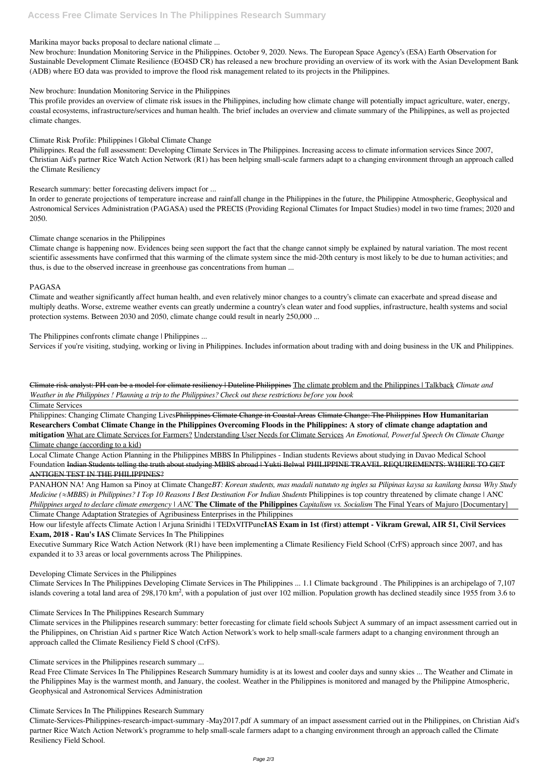## Marikina mayor backs proposal to declare national climate ...

New brochure: Inundation Monitoring Service in the Philippines. October 9, 2020. News. The European Space Agency's (ESA) Earth Observation for Sustainable Development Climate Resilience (EO4SD CR) has released a new brochure providing an overview of its work with the Asian Development Bank (ADB) where EO data was provided to improve the flood risk management related to its projects in the Philippines.

## New brochure: Inundation Monitoring Service in the Philippines

This profile provides an overview of climate risk issues in the Philippines, including how climate change will potentially impact agriculture, water, energy, coastal ecosystems, infrastructure/services and human health. The brief includes an overview and climate summary of the Philippines, as well as projected climate changes.

## Climate Risk Profile: Philippines | Global Climate Change

Philippines. Read the full assessment: Developing Climate Services in The Philippines. Increasing access to climate information services Since 2007, Christian Aid's partner Rice Watch Action Network (R1) has been helping small-scale farmers adapt to a changing environment through an approach called the Climate Resiliency

Research summary: better forecasting delivers impact for ...

In order to generate projections of temperature increase and rainfall change in the Philippines in the future, the Philippine Atmospheric, Geophysical and Astronomical Services Administration (PAGASA) used the PRECIS (Providing Regional Climates for Impact Studies) model in two time frames; 2020 and 2050.

# Climate change scenarios in the Philippines

Climate change is happening now. Evidences being seen support the fact that the change cannot simply be explained by natural variation. The most recent scientific assessments have confirmed that this warming of the climate system since the mid-20th century is most likely to be due to human activities; and thus, is due to the observed increase in greenhouse gas concentrations from human ...

### PAGASA

Climate and weather significantly affect human health, and even relatively minor changes to a country's climate can exacerbate and spread disease and multiply deaths. Worse, extreme weather events can greatly undermine a country's clean water and food supplies, infrastructure, health systems and social protection systems. Between 2030 and 2050, climate change could result in nearly 250,000 ...

The Philippines confronts climate change | Philippines ...

Services if you're visiting, studying, working or living in Philippines. Includes information about trading with and doing business in the UK and Philippines.

Climate risk analyst: PH can be a model for climate resiliency | Dateline Philippines The climate problem and the Philippines | Talkback *Climate and Weather in the Philippines ! Planning a trip to the Philippines? Check out these restrictions before you book*

Climate Services

Philippines: Changing Climate Changing LivesPhilippines Climate Change in Coastal Areas Climate Change: The Philippines **How Humanitarian Researchers Combat Climate Change in the Philippines Overcoming Floods in the Philippines: A story of climate change adaptation and mitigation** What are Climate Services for Farmers? Understanding User Needs for Climate Services *An Emotional, Powerful Speech On Climate Change* Climate change (according to a kid)

Local Climate Change Action Planning in the Philippines MBBS In Philippines - Indian students Reviews about studying in Davao Medical School Foundation Indian Students telling the truth about studying MBBS abroad | Yukti Belwal PHILIPPINE TRAVEL REQUIREMENTS: WHERE TO GET ANTIGEN TEST IN THE PHILIPPINES?

PANAHON NA! Ang Hamon sa Pinoy at Climate Change*BT: Korean students, mas madali natututo ng ingles sa Pilipinas kaysa sa kanilang bansa Why Study Medicine* (≈*MBBS)* in Philippines? *I Top 10 Reasons I Best Destination For Indian Students* Philippines is top country threatened by climate change | ANC *Philippines urged to declare climate emergency | ANC* **The Climate of the Philippines** *Capitalism vs. Socialism* The Final Years of Majuro [Documentary] Climate Change Adaptation Strategies of Agribusiness Enterprises in the Philippines

How our lifestyle affects Climate Action | Arjuna Srinidhi | TEDxVITPune**IAS Exam in 1st (first) attempt - Vikram Grewal, AIR 51, Civil Services Exam, 2018 - Rau's IAS** Climate Services In The Philippines

Executive Summary Rice Watch Action Network (R1) have been implementing a Climate Resiliency Field School (CrFS) approach since 2007, and has expanded it to 33 areas or local governments across The Philippines.

### Developing Climate Services in the Philippines

Climate Services In The Philippines Developing Climate Services in The Philippines ... 1.1 Climate background . The Philippines is an archipelago of 7,107

islands covering a total land area of 298,170 km<sup>2</sup>, with a population of just over 102 million. Population growth has declined steadily since 1955 from 3.6 to

#### Climate Services In The Philippines Research Summary

Climate services in the Philippines research summary: better forecasting for climate field schools Subject A summary of an impact assessment carried out in the Philippines, on Christian Aid s partner Rice Watch Action Network's work to help small-scale farmers adapt to a changing environment through an approach called the Climate Resiliency Field S chool (CrFS).

Climate services in the Philippines research summary ...

Read Free Climate Services In The Philippines Research Summary humidity is at its lowest and cooler days and sunny skies ... The Weather and Climate in the Philippines May is the warmest month, and January, the coolest. Weather in the Philippines is monitored and managed by the Philippine Atmospheric, Geophysical and Astronomical Services Administration

Climate Services In The Philippines Research Summary

Climate-Services-Philippines-research-impact-summary -May2017.pdf A summary of an impact assessment carried out in the Philippines, on Christian Aid's partner Rice Watch Action Network's programme to help small-scale farmers adapt to a changing environment through an approach called the Climate Resiliency Field School.